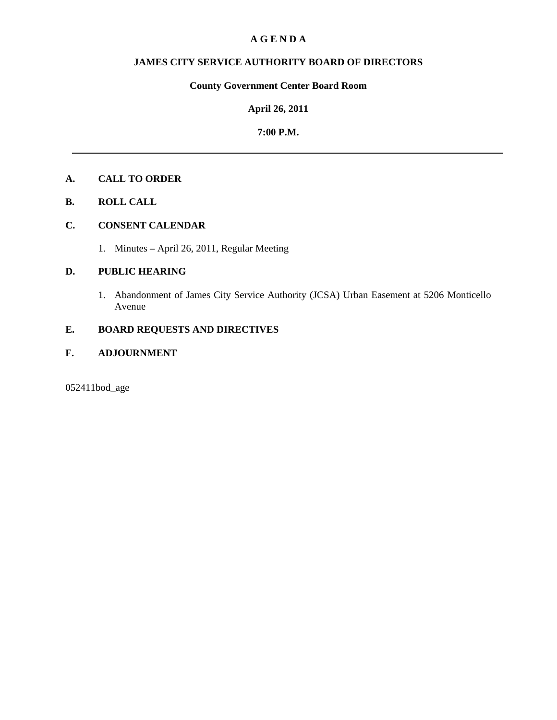#### **A G E N D A**

### **JAMES CITY SERVICE AUTHORITY BOARD OF DIRECTORS**

# **County Government Center Board Room**

#### **April 26, 2011**

# **7:00 P.M.**

#### **A. CALL TO ORDER**

**B. ROLL CALL** 

# **C. CONSENT CALENDAR**

1. Minutes – April 26, 2011, Regular Meeting

### **D. PUBLIC HEARING**

1. Abandonment of James City Service Authority (JCSA) Urban Easement at 5206 Monticello Avenue

# **E. BOARD REQUESTS AND DIRECTIVES**

#### **F. ADJOURNMENT**

052411bod\_age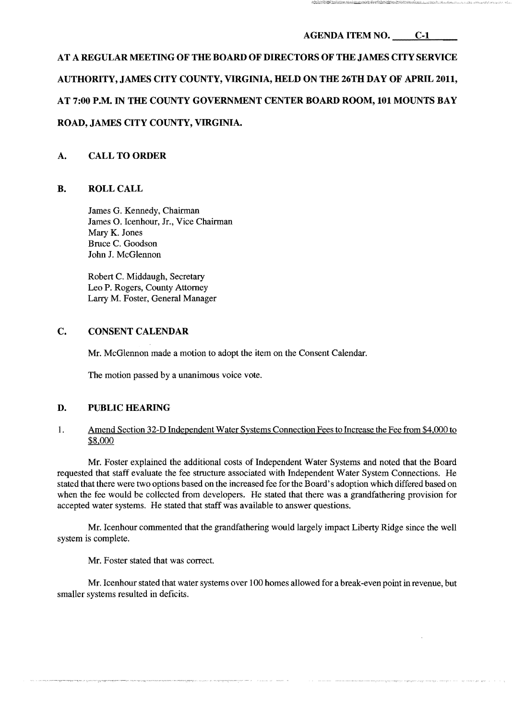# **AGENDA ITEM NO. C-l**

# **AT A REGULAR MEETING OF THE BOARD OF DIRECTORS OF THE JAMES CITY SERVICE AUTHORITY, JAMES CITY COUNTY, VIRGINIA, HELD ON THE 26TH DAY OF APRIL 2011, AT 7:00 P.M. IN THE COUNTY GOVERNMENT CENTER BOARD ROOM, 101 MOUNTS BAY ROAD, JAMES CITY COUNTY, VIRGINIA.**

# **A. CALL TO ORDER**

#### **B. ROLLCALL**

James G. Kennedy, Chairman James O. Icenhour, Jr., Vice Chairman Mary K. Jones Bruce C. Goodson John J. McGlennon

Robert C. Middaugh, Secretary Leo P. Rogers, County Attorney Larry M. Foster, General Manager

# **C. CONSENT CALENDAR**

Mr. McGlennon made a motion to adopt the item on the Consent Calendar.

The motion passed by a unanimous voice vote.

# **D. PUBLIC HEARING**

#### 1. Amend Section 32-D Independent Water Systems Connection Fees to Increase the Fee from \$4,000 to \$8,000

Mr. Foster explained the additional costs of Independent Water Systems and noted that the Board requested that staff evaluate the fee structure associated with Independent Water System Connections. He stated that there were two options based on the increased fee for the Board's adoption which differed based on when the fee would be collected from developers. He stated that there was a grandfathering provision for accepted water systems. He stated that staff was available to answer questions.

Mr. Icenhour commented that the grandfathering would largely impact Liberty Ridge since the well system is complete.

Mr. Foster stated that was correct.

Mr. Icenhour stated that water systems over 100 homes allowed for a break-even point in revenue, but smaller systems resulted in deficits.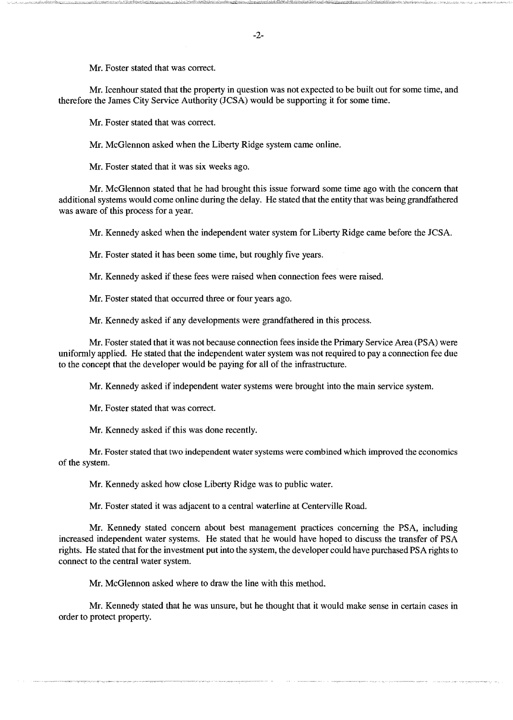Mr. Foster stated that was correct.

Mr. Icenhour stated that the property in question was not expected to be built out for some time, and therefore the James City Service Authority (JCSA) would be supporting it for some time.

Mr. Foster stated that was correct.

Mr. McGlennon asked when the Liberty Ridge system came online.

Mr. Foster stated that it was six weeks ago.

Mr. McGlennon stated that he had brought this issue forward some time ago with the concern that additional systems would come online during the delay. He stated that the entity that was being grandfathered was aware of this process for a year.

Mr. Kennedy asked when the independent water system for Liberty Ridge came before the JCSA.

Mr. Foster stated it has been some time, but roughly five years.

Mr. Kennedy asked if these fees were raised when connection fees were raised.

Mr. Foster stated that occurred three or four years ago.

Mr. Kennedy asked if any developments were grandfathered in this process.

Mr. Foster stated that it was not because connection fees inside the Primary Service Area (PSA) were uniformly applied. He stated that the independent water system was not required to pay a connection fee due to the concept that the developer would be paying for all of the infrastructure.

Mr. Kennedy asked if independent water systems were brought into the main service system.

Mr. Foster stated that was correct.

Mr. Kennedy asked if this was done recently.

Mr. Foster stated that two independent water systems were combined which improved the economics of the system.

Mr. Kennedy asked how close Liberty Ridge was to public water.

Mr. Foster stated it was adjacent to a central waterline at Centerville Road.

Mr. Kennedy stated concern about best management practices concerning the PSA, including increased independent water systems. He stated that he would have hoped to discuss the transfer of PSA rights. He stated that for the investment put into the system, the developer could have purchased PSA rights to connect to the central water system.

Mr. McGlennon asked where to draw the line with this method.

Mr. Kennedy stated that he was unsure, but he thought that it would make sense in certain cases in order to protect property.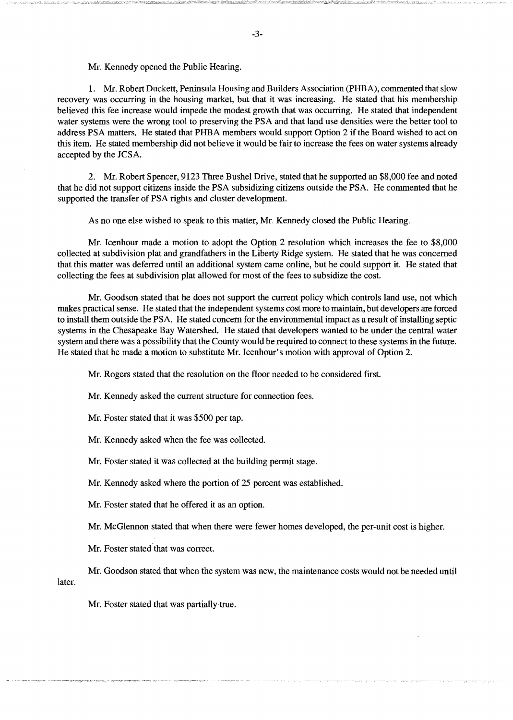Mr. Kennedy opened the Public Hearing.

1. Mr. Robert Duckett, Peninsula Housing and Builders Association (PHBA), conunented that slow recovery was occurring in the housing market, but that it was increasing. He stated that his membership believed this fee increase would impede the modest growth that was occurring. He stated that independent water systems were the wrong tool to preserving the PSA and that land use densities were the better tool to address PSA matters. He stated that PHBA members would support Option 2 if the Board wished to act on this item. He stated membership did not believe it would be fair to increase the fees on water systems already accepted by the JCSA.

2. Mr. Robert Spencer, 9123 Three Bushel Drive, stated that he supported an \$8,000 fee and noted that he did not support citizens inside the PSA subsidizing citizens outside the PSA. He commented that he supported the transfer of PSA rights and cluster development.

As no one else wished to speak to this matter, Mr. Kennedy closed the Public Hearing.

Mr. Icenhour made a motion to adopt the Option 2 resolution which increases the fee to \$8,000 collected at subdivision plat and grandfathers in the Liberty Ridge system. He stated that he was concerned that this matter was deferred until an additional system came online, but he could support it. He stated that collecting the fees at subdivision plat allowed for most of the fees to subsidize the cost.

Mr. Goodson stated that he does not support the current policy which controls land use, not which makes practical sense. He stated that the independent systems cost more to maintain, but developers are forced to install them outside the PSA. He stated concern for the environmental impact as a result of installing septic systems in the Chesapeake Bay Watershed. He stated that developers wanted to be under the central water system and there was a possibility that the County would be required to connect to these systems in the future. He stated that he made a motion to substitute Mr. Icenhour's motion with approval of Option 2.

Mr. Rogers stated that the resolution on the floor needed to be considered first.

Mr. Kennedy asked the current structure for connection fees.

Mr. Foster stated that it was \$500 per tap.

Mr. Kennedy asked when the fee was collected.

Mr. Foster stated it was collected at the building permit stage.

Mr. Kennedy asked where the portion of 25 percent was established.

Mr. Foster stated that he offered it as an option.

Mr. McGlennon stated that when there were fewer homes developed, the per-unit cost is higher.

Mr. Foster stated'that was correct.

Mr. Goodson stated that when the system was new, the maintenance costs would not be needed until later.

Mr. Foster stated that was partially true.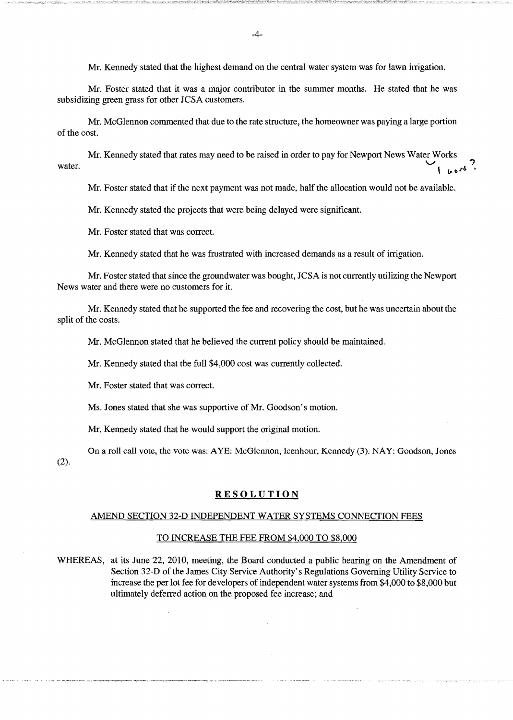Mr. Kennedy stated that the highest demand on the central water system was for lawn irrigation.

Mr. Foster stated that it was a major contributor in the summer months. He stated that he was subsidizing green grass for other JCSA customers.

Mr. McGlennon commented that due to the rate structure, the homeowner was paying a large portion of the cost.

i Mr. Kennedy stated that rates may need to be raised in order to pay for Newport News Water Works  $\int \int \omega \, d^4$ 

Mr. Foster stated that if the next payment was not made, half the allocation would not be available.

•

Mr. Kennedy stated the projects that were being delayed were significant.

Mr. Foster stated that was correct.

Mr. Kennedy stated that he was frustrated with increased demands as a result of irrigation.

Mr. Foster stated that since the groundwater was bought, JCSA is not currently utilizing the Newport News water and there were no customers for it.

Mr. Kennedy stated that he supported the fee and recovering the cost, but he was uncertain about the split of the costs.

Mr. McGlennon stated that he believed the current policy should be maintained.

Mr. Kennedy stated that the full \$4,000 cost was currently collected.

Mr. Foster stated that was correct.

Ms. Jones stated that she was supportive of Mr. Goodson's motion.

Mr. Kennedy stated that he would support the original motion.

On a roll call vote, the vote was: AYE: McGlennon, Icenhour, Kennedy (3). NAY: Goodson, Jones (2).

#### **RESOLUTION**

#### AMEND SECTION 32-D INDEPENDENT WATER SYSTEMS CONNECTION FEES

#### TO INCREASE THE FEE FROM \$4,000 TO \$8,000

WHEREAS, at its June 22, 2010, meeting, the Board conducted a public hearing on the Amendment of Section 32-D of the James City Service Authority's Regulations Governing Utility Service to increase the per lot fee for developers of independent water systems from \$4,000 to \$8,000 but ultimately deferred action on the proposed fee increase; and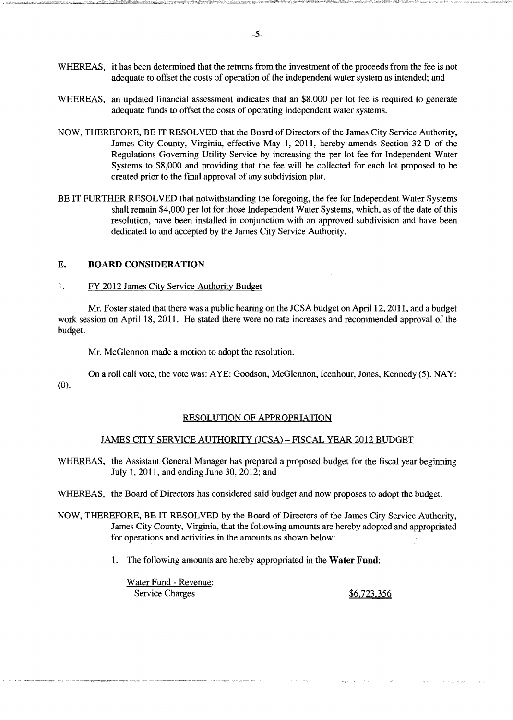- WHEREAS, it has been determined that the returns from the investment of the proceeds from the fee is not adequate to offset the costs of operation of the independent water system as intended; and
- WHEREAS, an updated financial assessment indicates that an \$8,000 per lot fee is required to generate adequate funds to offset the costs of operating independent water systems.
- NOW, THEREFORE, BE IT RESOLVED that the Board of Directors of the James City Service Authority, James City County, Virginia, effective May 1, 2011, hereby amends Section 32-D of the Regulations Governing Utility Service by increasing the per lot fee for Independent Water Systems to \$8,000 and providing that the fee will be collected for each lot proposed to be created prior to the final approval of any subdivision plat.
- BE IT FURTHER RESOLVED that notwithstanding the foregoing, the fee for Independent Water Systems shall remain \$4,000 per lot for those Independent Water Systems, which, as of the date of this resolution, have been installed in conjunction with an approved subdivision and have been dedicated to and accepted by the James City Service Authority.

#### **E. BOARD CONSIDERATION**

1. FY 2012 James City Service Authority Budget

Mr. Foster stated that there was a public hearing on the JCSA budget on April 12, 2011, and a budget work session on April 18, 2011. He stated there were no rate increases and recommended approval of the budget

Mr. McGlennon made a motion to adopt the resolution.

On a roll call vote, the vote was: AYE: Goodson, McGlennon, Icenhour, Jones, Kennedy (5). NAY: (0).

#### RESOLUTION OF APPROPRIATION

#### JAMES CITY SERVICE AUTHORITY (JCSA) - FISCAL YEAR 2012 BUDGET

- WHEREAS, the Assistant General Manager has prepared a proposed budget for the fiscal year beginning July 1, 2011, and ending June 30, 2012; and
- WHEREAS, the Board of Directors has considered said budget and now proposes to adopt the budget.
- NOW, THEREFORE, BE IT RESOLVED by the Board of Directors of the James City Service Authority, James City County, Virginia, that the following amounts are hereby adopted and appropriated for operations and activities in the amounts as shown below:
	- 1. The following amounts are hereby appropriated in the **Water Fund:**

Water Fund - Revenue: Service Charges  $\frac{$6,723,356}{1000}$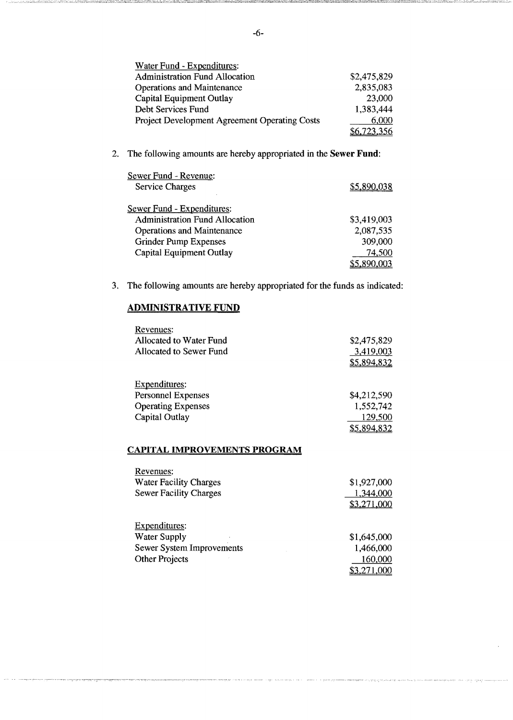| Water Fund - Expenditures:                           |             |
|------------------------------------------------------|-------------|
| <b>Administration Fund Allocation</b>                | \$2,475,829 |
| Operations and Maintenance                           | 2,835,083   |
| Capital Equipment Outlay                             | 23,000      |
| Debt Services Fund                                   | 1,383,444   |
| <b>Project Development Agreement Operating Costs</b> | 6,000       |
|                                                      | \$6,723,356 |

2. The following amounts are hereby appropriated in the **Sewer Fund:** 

| Sewer Fund - Revenue:                 |             |
|---------------------------------------|-------------|
| <b>Service Charges</b>                | \$5,890.038 |
| Sewer Fund - Expenditures:            |             |
| <b>Administration Fund Allocation</b> | \$3,419,003 |
| <b>Operations and Maintenance</b>     | 2,087,535   |
| <b>Grinder Pump Expenses</b>          | 309,000     |
| Capital Equipment Outlay              | 74,500      |
|                                       |             |

3. The following amounts are hereby appropriated for the funds as indicated:

# **ADMINISTRATIVE FUND**

| Revenues:                 |             |
|---------------------------|-------------|
| Allocated to Water Fund   | \$2,475,829 |
| Allocated to Sewer Fund   | 3,419,003   |
|                           | \$5,894,832 |
| <b>Expenditures:</b>      |             |
| <b>Personnel Expenses</b> | \$4,212,590 |
| <b>Operating Expenses</b> | 1,552,742   |
| Capital Outlay            | 129,500     |
|                           | \$5,894,832 |

# **CAPITAL IMPROVEMENTS PROGRAM**

| Revenues:                     |             |
|-------------------------------|-------------|
| <b>Water Facility Charges</b> | \$1,927,000 |
| <b>Sewer Facility Charges</b> | 1,344,000   |
|                               | \$3,271,000 |
| Expenditures:                 |             |
| <b>Water Supply</b>           | \$1,645,000 |
| Sewer System Improvements     | 1,466,000   |
| <b>Other Projects</b>         | 160,000     |
|                               |             |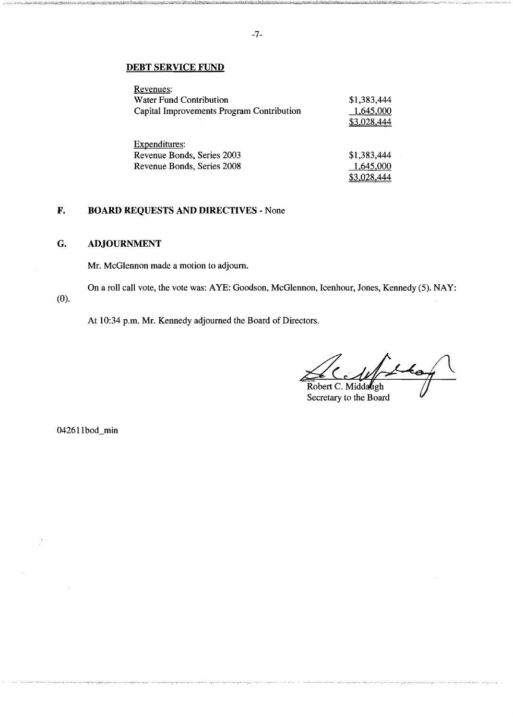#### DEBT SERVICE FUND

| Revenues:                                 |             |
|-------------------------------------------|-------------|
| Water Fund Contribution                   | \$1,383,444 |
| Capital Improvements Program Contribution | 1,645,000   |
|                                           | \$3,028,444 |
| <b>Expenditures:</b>                      |             |
| Revenue Bonds, Series 2003                | \$1,383,444 |
| Revenue Bonds, Series 2008                | 1,645,000   |
|                                           | 3.028.444   |

# F. BOARD REQUESTS AND DIRECTIVES - None

# G. ADJOURNMENT

Mr. McGlennon made a motion to adjourn.

On a roll call vote, the vote was: AYE: Goodson, McGlennon, Icenhour, Jones, Kennedy (5). NAY:

(0).

At 10:34 p.m. Mr. Kennedy adjourned the Board of Directors.

 $\overline{\text{Robert C}}$ . Middaugh

Secretary to the Board

042611bod\_min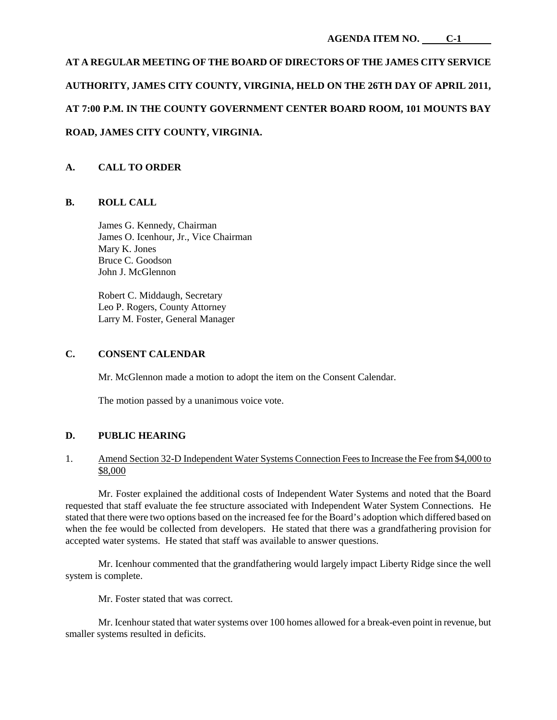# **AT A REGULAR MEETING OF THE BOARD OF DIRECTORS OF THE JAMES CITY SERVICE AUTHORITY, JAMES CITY COUNTY, VIRGINIA, HELD ON THE 26TH DAY OF APRIL 2011, AT 7:00 P.M. IN THE COUNTY GOVERNMENT CENTER BOARD ROOM, 101 MOUNTS BAY ROAD, JAMES CITY COUNTY, VIRGINIA.**

# **A. CALL TO ORDER**

#### **B. ROLL CALL**

James G. Kennedy, Chairman James O. Icenhour, Jr., Vice Chairman Mary K. Jones Bruce C. Goodson John J. McGlennon

Robert C. Middaugh, Secretary Leo P. Rogers, County Attorney Larry M. Foster, General Manager

#### **C. CONSENT CALENDAR**

Mr. McGlennon made a motion to adopt the item on the Consent Calendar.

The motion passed by a unanimous voice vote.

#### **D. PUBLIC HEARING**

#### 1. Amend Section 32-D Independent Water Systems Connection Fees to Increase the Fee from \$4,000 to \$8,000

Mr. Foster explained the additional costs of Independent Water Systems and noted that the Board requested that staff evaluate the fee structure associated with Independent Water System Connections. He stated that there were two options based on the increased fee for the Board's adoption which differed based on when the fee would be collected from developers. He stated that there was a grandfathering provision for accepted water systems. He stated that staff was available to answer questions.

Mr. Icenhour commented that the grandfathering would largely impact Liberty Ridge since the well system is complete.

Mr. Foster stated that was correct.

Mr. Icenhour stated that water systems over 100 homes allowed for a break-even point in revenue, but smaller systems resulted in deficits.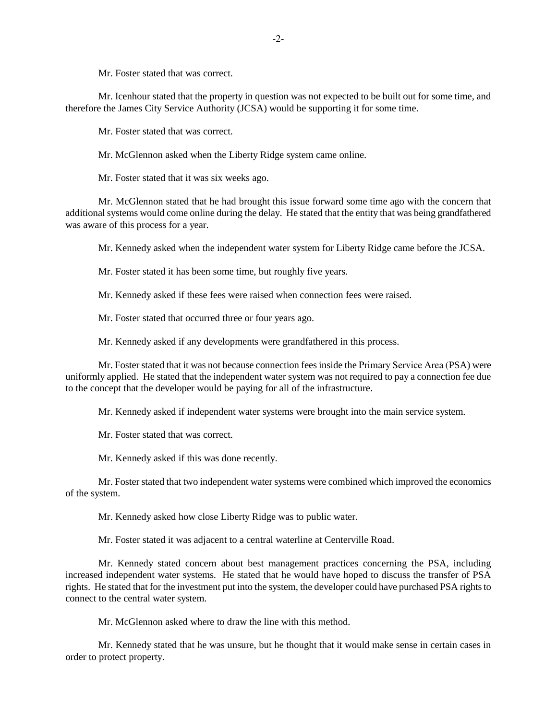Mr. Foster stated that was correct.

Mr. Icenhour stated that the property in question was not expected to be built out for some time, and therefore the James City Service Authority (JCSA) would be supporting it for some time.

Mr. Foster stated that was correct.

Mr. McGlennon asked when the Liberty Ridge system came online.

Mr. Foster stated that it was six weeks ago.

Mr. McGlennon stated that he had brought this issue forward some time ago with the concern that additional systems would come online during the delay. He stated that the entity that was being grandfathered was aware of this process for a year.

Mr. Kennedy asked when the independent water system for Liberty Ridge came before the JCSA.

Mr. Foster stated it has been some time, but roughly five years.

Mr. Kennedy asked if these fees were raised when connection fees were raised.

Mr. Foster stated that occurred three or four years ago.

Mr. Kennedy asked if any developments were grandfathered in this process.

Mr. Foster stated that it was not because connection fees inside the Primary Service Area (PSA) were uniformly applied. He stated that the independent water system was not required to pay a connection fee due to the concept that the developer would be paying for all of the infrastructure.

Mr. Kennedy asked if independent water systems were brought into the main service system.

Mr. Foster stated that was correct.

Mr. Kennedy asked if this was done recently.

Mr. Foster stated that two independent water systems were combined which improved the economics of the system.

Mr. Kennedy asked how close Liberty Ridge was to public water.

Mr. Foster stated it was adjacent to a central waterline at Centerville Road.

Mr. Kennedy stated concern about best management practices concerning the PSA, including increased independent water systems. He stated that he would have hoped to discuss the transfer of PSA rights. He stated that for the investment put into the system, the developer could have purchased PSA rights to connect to the central water system.

Mr. McGlennon asked where to draw the line with this method.

Mr. Kennedy stated that he was unsure, but he thought that it would make sense in certain cases in order to protect property.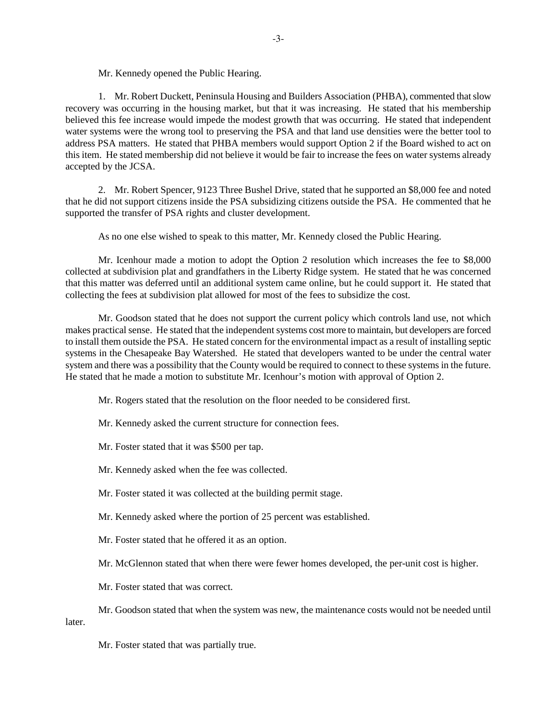Mr. Kennedy opened the Public Hearing.

1. Mr. Robert Duckett, Peninsula Housing and Builders Association (PHBA), commented that slow recovery was occurring in the housing market, but that it was increasing. He stated that his membership believed this fee increase would impede the modest growth that was occurring. He stated that independent water systems were the wrong tool to preserving the PSA and that land use densities were the better tool to address PSA matters. He stated that PHBA members would support Option 2 if the Board wished to act on this item. He stated membership did not believe it would be fair to increase the fees on water systems already accepted by the JCSA.

2. Mr. Robert Spencer, 9123 Three Bushel Drive, stated that he supported an \$8,000 fee and noted that he did not support citizens inside the PSA subsidizing citizens outside the PSA. He commented that he supported the transfer of PSA rights and cluster development.

As no one else wished to speak to this matter, Mr. Kennedy closed the Public Hearing.

Mr. Icenhour made a motion to adopt the Option 2 resolution which increases the fee to \$8,000 collected at subdivision plat and grandfathers in the Liberty Ridge system. He stated that he was concerned that this matter was deferred until an additional system came online, but he could support it. He stated that collecting the fees at subdivision plat allowed for most of the fees to subsidize the cost.

Mr. Goodson stated that he does not support the current policy which controls land use, not which makes practical sense. He stated that the independent systems cost more to maintain, but developers are forced to install them outside the PSA. He stated concern for the environmental impact as a result of installing septic systems in the Chesapeake Bay Watershed. He stated that developers wanted to be under the central water system and there was a possibility that the County would be required to connect to these systems in the future. He stated that he made a motion to substitute Mr. Icenhour's motion with approval of Option 2.

Mr. Rogers stated that the resolution on the floor needed to be considered first.

Mr. Kennedy asked the current structure for connection fees.

Mr. Foster stated that it was \$500 per tap.

Mr. Kennedy asked when the fee was collected.

Mr. Foster stated it was collected at the building permit stage.

Mr. Kennedy asked where the portion of 25 percent was established.

Mr. Foster stated that he offered it as an option.

Mr. McGlennon stated that when there were fewer homes developed, the per-unit cost is higher.

Mr. Foster stated that was correct.

Mr. Goodson stated that when the system was new, the maintenance costs would not be needed until later.

Mr. Foster stated that was partially true.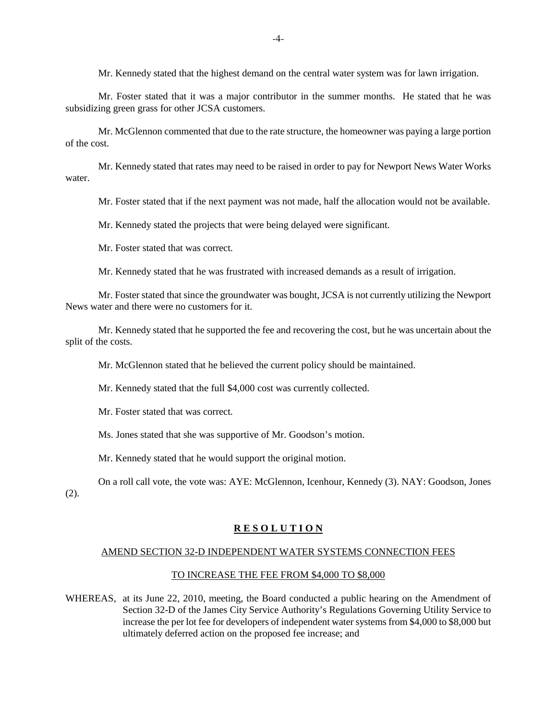Mr. Kennedy stated that the highest demand on the central water system was for lawn irrigation.

Mr. Foster stated that it was a major contributor in the summer months. He stated that he was subsidizing green grass for other JCSA customers.

Mr. McGlennon commented that due to the rate structure, the homeowner was paying a large portion of the cost.

Mr. Kennedy stated that rates may need to be raised in order to pay for Newport News Water Works water.

Mr. Foster stated that if the next payment was not made, half the allocation would not be available.

Mr. Kennedy stated the projects that were being delayed were significant.

Mr. Foster stated that was correct.

Mr. Kennedy stated that he was frustrated with increased demands as a result of irrigation.

Mr. Foster stated that since the groundwater was bought, JCSA is not currently utilizing the Newport News water and there were no customers for it.

Mr. Kennedy stated that he supported the fee and recovering the cost, but he was uncertain about the split of the costs.

Mr. McGlennon stated that he believed the current policy should be maintained.

Mr. Kennedy stated that the full \$4,000 cost was currently collected.

Mr. Foster stated that was correct.

Ms. Jones stated that she was supportive of Mr. Goodson's motion.

Mr. Kennedy stated that he would support the original motion.

On a roll call vote, the vote was: AYE: McGlennon, Icenhour, Kennedy (3). NAY: Goodson, Jones (2).

#### **R E S O L U T I O N**

#### AMEND SECTION 32-D INDEPENDENT WATER SYSTEMS CONNECTION FEES

#### TO INCREASE THE FEE FROM \$4,000 TO \$8,000

WHEREAS, at its June 22, 2010, meeting, the Board conducted a public hearing on the Amendment of Section 32-D of the James City Service Authority's Regulations Governing Utility Service to increase the per lot fee for developers of independent water systems from \$4,000 to \$8,000 but ultimately deferred action on the proposed fee increase; and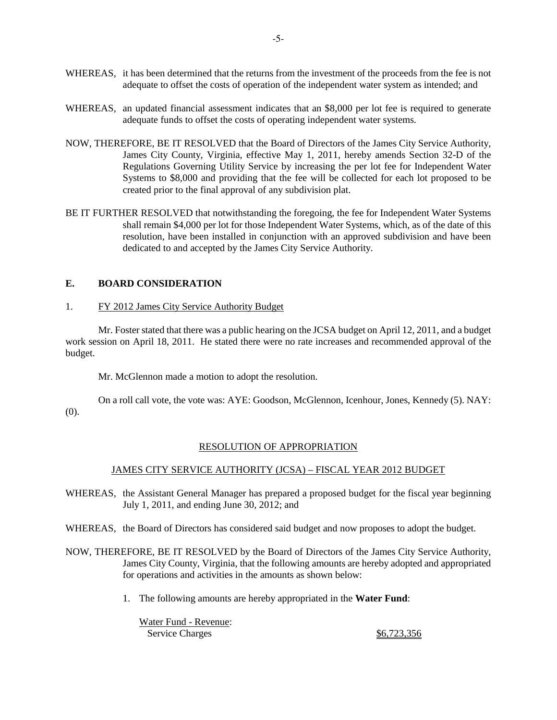- WHEREAS, it has been determined that the returns from the investment of the proceeds from the fee is not adequate to offset the costs of operation of the independent water system as intended; and
- WHEREAS, an updated financial assessment indicates that an \$8,000 per lot fee is required to generate adequate funds to offset the costs of operating independent water systems.
- NOW, THEREFORE, BE IT RESOLVED that the Board of Directors of the James City Service Authority, James City County, Virginia, effective May 1, 2011, hereby amends Section 32-D of the Regulations Governing Utility Service by increasing the per lot fee for Independent Water Systems to \$8,000 and providing that the fee will be collected for each lot proposed to be created prior to the final approval of any subdivision plat.
- BE IT FURTHER RESOLVED that notwithstanding the foregoing, the fee for Independent Water Systems shall remain \$4,000 per lot for those Independent Water Systems, which, as of the date of this resolution, have been installed in conjunction with an approved subdivision and have been dedicated to and accepted by the James City Service Authority.

#### **E. BOARD CONSIDERATION**

#### 1. FY 2012 James City Service Authority Budget

Mr. Foster stated that there was a public hearing on the JCSA budget on April 12, 2011, and a budget work session on April 18, 2011. He stated there were no rate increases and recommended approval of the budget.

Mr. McGlennon made a motion to adopt the resolution.

On a roll call vote, the vote was: AYE: Goodson, McGlennon, Icenhour, Jones, Kennedy (5). NAY: (0).

#### RESOLUTION OF APPROPRIATION

#### JAMES CITY SERVICE AUTHORITY (JCSA) – FISCAL YEAR 2012 BUDGET

- WHEREAS, the Assistant General Manager has prepared a proposed budget for the fiscal year beginning July 1, 2011, and ending June 30, 2012; and
- WHEREAS, the Board of Directors has considered said budget and now proposes to adopt the budget.
- NOW, THEREFORE, BE IT RESOLVED by the Board of Directors of the James City Service Authority, James City County, Virginia, that the following amounts are hereby adopted and appropriated for operations and activities in the amounts as shown below:
	- 1. The following amounts are hereby appropriated in the **Water Fund**:

Water Fund - Revenue: Service Charges  $\frac{$6,723,356}{6}$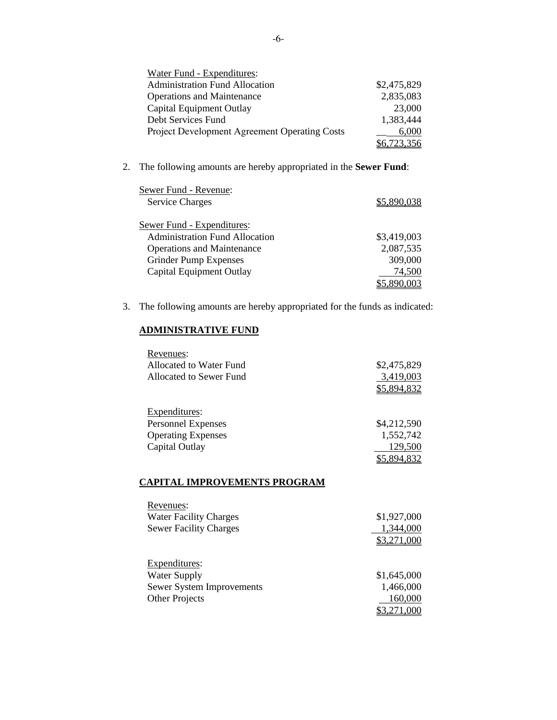| Water Fund - Expenditures:                           |             |
|------------------------------------------------------|-------------|
| <b>Administration Fund Allocation</b>                | \$2,475,829 |
| <b>Operations and Maintenance</b>                    | 2,835,083   |
| <b>Capital Equipment Outlay</b>                      | 23,000      |
| Debt Services Fund                                   | 1,383,444   |
| <b>Project Development Agreement Operating Costs</b> | 6,000       |
|                                                      | \$6,723,356 |

2. The following amounts are hereby appropriated in the **Sewer Fund**:

| Sewer Fund - Revenue:                 |             |
|---------------------------------------|-------------|
| <b>Service Charges</b>                | \$5,890,038 |
| Sewer Fund - Expenditures:            |             |
| <b>Administration Fund Allocation</b> | \$3,419,003 |
| <b>Operations and Maintenance</b>     | 2,087,535   |
| <b>Grinder Pump Expenses</b>          | 309,000     |
| Capital Equipment Outlay              | 74,500      |
|                                       |             |

3. The following amounts are hereby appropriated for the funds as indicated:

# **ADMINISTRATIVE FUND**

| \$2,475,829 |
|-------------|
| 3,419,003   |
| \$5,894,832 |
|             |
|             |
| \$4,212,590 |
| 1,552,742   |
| 129,500     |
|             |
|             |

# **CAPITAL IMPROVEMENTS PROGRAM**

| Revenues:                        |             |
|----------------------------------|-------------|
| <b>Water Facility Charges</b>    | \$1,927,000 |
| <b>Sewer Facility Charges</b>    | 1,344,000   |
|                                  | \$3,271,000 |
|                                  |             |
| Expenditures:                    |             |
| <b>Water Supply</b>              | \$1,645,000 |
| <b>Sewer System Improvements</b> | 1,466,000   |
| <b>Other Projects</b>            | 160,000     |
|                                  |             |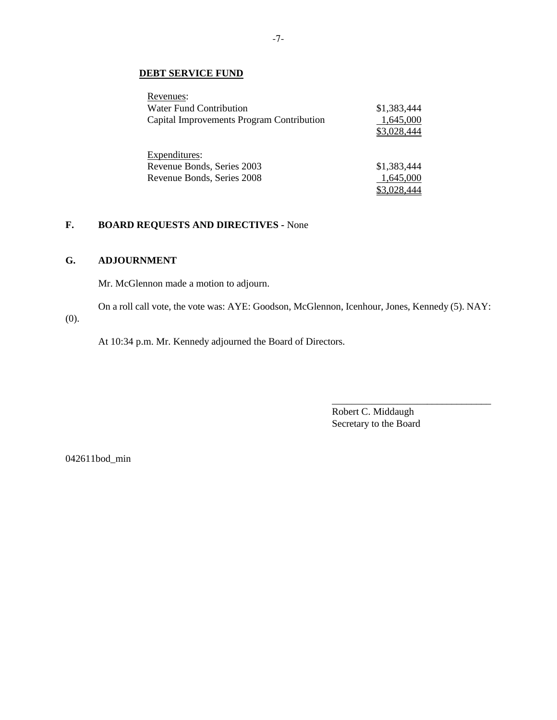#### **DEBT SERVICE FUND**

| Revenues:                                 |             |
|-------------------------------------------|-------------|
| Water Fund Contribution                   | \$1,383,444 |
| Capital Improvements Program Contribution | 1,645,000   |
|                                           | \$3,028,444 |
| Expenditures:                             |             |
| Revenue Bonds, Series 2003                | \$1,383,444 |
| Revenue Bonds, Series 2008                | 1,645,000   |
|                                           | \$3.028.444 |

# **F. BOARD REQUESTS AND DIRECTIVES -** None

#### **G. ADJOURNMENT**

Mr. McGlennon made a motion to adjourn.

On a roll call vote, the vote was: AYE: Goodson, McGlennon, Icenhour, Jones, Kennedy (5). NAY:

(0).

At 10:34 p.m. Mr. Kennedy adjourned the Board of Directors.

Robert C. Middaugh Secretary to the Board

\_\_\_\_\_\_\_\_\_\_\_\_\_\_\_\_\_\_\_\_\_\_\_\_\_\_\_\_\_\_\_\_

042611bod\_min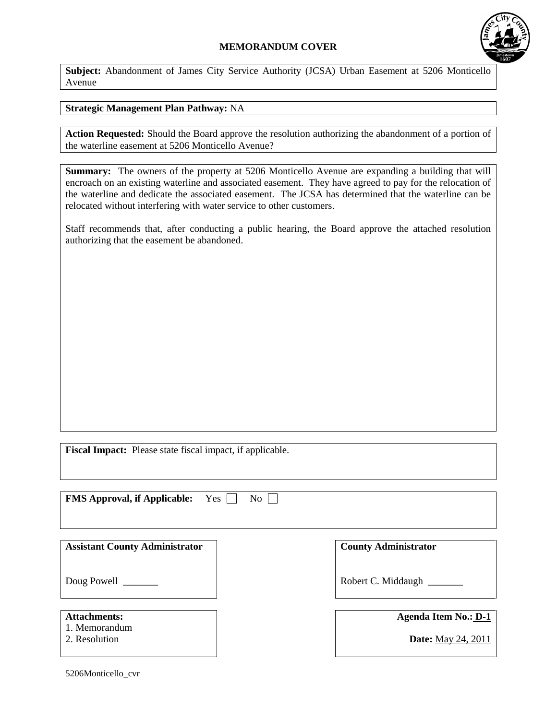#### **MEMORANDUM COVER**



**Subject:** Abandonment of James City Service Authority (JCSA) Urban Easement at 5206 Monticello Avenue

#### **Strategic Management Plan Pathway:** NA

**Action Requested:** Should the Board approve the resolution authorizing the abandonment of a portion of the waterline easement at 5206 Monticello Avenue?

**Summary:** The owners of the property at 5206 Monticello Avenue are expanding a building that will encroach on an existing waterline and associated easement. They have agreed to pay for the relocation of the waterline and dedicate the associated easement. The JCSA has determined that the waterline can be relocated without interfering with water service to other customers.

Staff recommends that, after conducting a public hearing, the Board approve the attached resolution authorizing that the easement be abandoned.

**Fiscal Impact:** Please state fiscal impact, if applicable.

**FMS Approval, if Applicable:** Yes  $\Box$  No  $\Box$ 

| <b>Assistant County Administrator</b> | <b>County Administrator</b> |
|---------------------------------------|-----------------------------|
| Doug Powell                           | Robert C. Middaugh          |
| <b>Attachments:</b><br>1. Memorandum  | <b>Agenda Item No.: D-1</b> |
| 2. Resolution                         | <b>Date:</b> May 24, 2011   |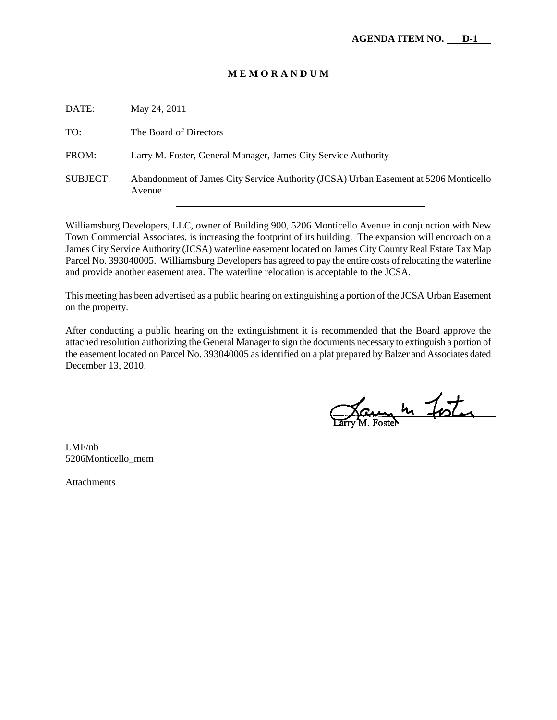#### **M E M O R A N D U M**

| DATE:           | May 24, 2011                                                                                   |
|-----------------|------------------------------------------------------------------------------------------------|
| TO:             | The Board of Directors                                                                         |
| FROM:           | Larry M. Foster, General Manager, James City Service Authority                                 |
| <b>SUBJECT:</b> | Abandonment of James City Service Authority (JCSA) Urban Easement at 5206 Monticello<br>Avenue |

Williamsburg Developers, LLC, owner of Building 900, 5206 Monticello Avenue in conjunction with New Town Commercial Associates, is increasing the footprint of its building. The expansion will encroach on a James City Service Authority (JCSA) waterline easement located on James City County Real Estate Tax Map Parcel No. 393040005. Williamsburg Developers has agreed to pay the entire costs of relocating the waterline and provide another easement area. The waterline relocation is acceptable to the JCSA.

This meeting has been advertised as a public hearing on extinguishing a portion of the JCSA Urban Easement on the property.

After conducting a public hearing on the extinguishment it is recommended that the Board approve the attached resolution authorizing the General Manager to sign the documents necessary to extinguish a portion of the easement located on Parcel No. 393040005 as identified on a plat prepared by Balzer and Associates dated December 13, 2010.

James In Foster

LMF/nb 5206Monticello\_mem

**Attachments**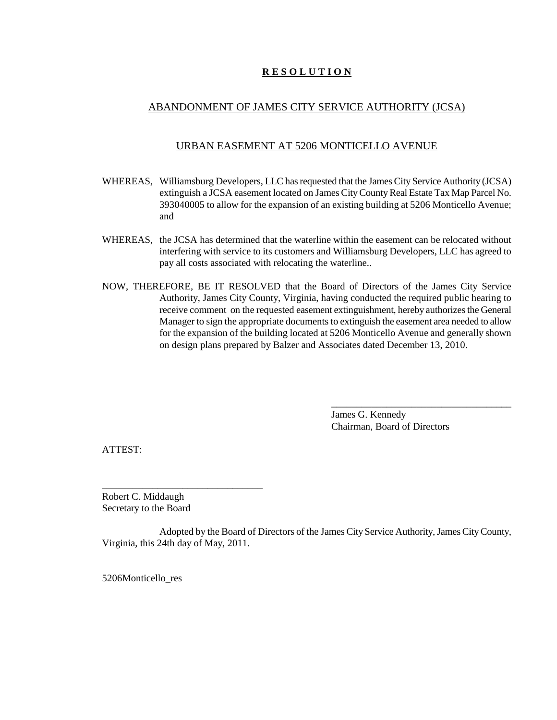# **R E S O L U T I O N**

# ABANDONMENT OF JAMES CITY SERVICE AUTHORITY (JCSA)

# URBAN EASEMENT AT 5206 MONTICELLO AVENUE

- WHEREAS, Williamsburg Developers, LLC has requested that the James City Service Authority (JCSA) extinguish a JCSA easement located on James City County Real Estate Tax Map Parcel No. 393040005 to allow for the expansion of an existing building at 5206 Monticello Avenue; and
- WHEREAS, the JCSA has determined that the waterline within the easement can be relocated without interfering with service to its customers and Williamsburg Developers, LLC has agreed to pay all costs associated with relocating the waterline..
- NOW, THEREFORE, BE IT RESOLVED that the Board of Directors of the James City Service Authority, James City County, Virginia, having conducted the required public hearing to receive comment on the requested easement extinguishment, hereby authorizes the General Manager to sign the appropriate documents to extinguish the easement area needed to allow for the expansion of the building located at 5206 Monticello Avenue and generally shown on design plans prepared by Balzer and Associates dated December 13, 2010.

James G. Kennedy Chairman, Board of Directors

\_\_\_\_\_\_\_\_\_\_\_\_\_\_\_\_\_\_\_\_\_\_\_\_\_\_\_\_\_\_\_\_\_\_\_\_

ATTEST:

Robert C. Middaugh Secretary to the Board

\_\_\_\_\_\_\_\_\_\_\_\_\_\_\_\_\_\_\_\_\_\_\_\_\_\_\_\_\_\_\_\_

Adopted by the Board of Directors of the James City Service Authority, James City County, Virginia, this 24th day of May, 2011.

5206Monticello\_res